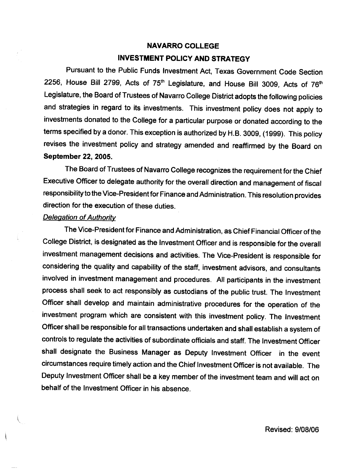# NAVARRO COLLEGE INVESTMENT POLICY AND STRATEGY

Pursuant to the Public Funds Investment Act, Texas Government Code Section 2256, House Bill 2799, Acts of  $75<sup>th</sup>$  Legislature, and House Bill 3009, Acts of  $76<sup>th</sup>$ Legislature, the Board of Trustees of Navarro College District adopts the following policies and strategies in regard to its investments. This investment policy does not apply to investments donated to the College for a particular purpose or donated according to the terms specified by a donor. This exception is authorized by H.B. 3OOg, (1999). This policy revises the investment policy and strategy amended and reaffirmed by the Board on September 22, 2005.

The Board of Trustees of Navarro College recognizes the requirement for the Chief Executive Officer to delegate authority for the overall direction and management of fiscal responsibility to the Vice-President for Finance and Administration. This resolution provides direction for the execution of these duties.

## **Delegation of Authority**

The Vice-President for Finance and Administration, as Chief Financial Officer of the College District, is designated as the Investment Officer and is responsible for the overall investment management decisions and activities. The Vice-President is responsible for considering the quality and capability of the staff, investment advisors, and consultants involved in investment management and procedures. All participants in the investment process shall seek to act responsibly as custodians of the public trust. The Investment Officer shall develop and maintain administrative procedures for the operation of the investment program which are consistent with this investment policy. The Investment Officer shall be responsible for all transactions undertaken and shall establish a system of controls to regulate the activities of subordinate officials and staff. The Investment Officer shall designate the Business Manager as Deputy tnvestment Officer in the event circumstances require timely action and the Chief Investment Officer is not available. The Deputy lnvestment Officer shall be a key member of the investment team and will act on behalf of the Investment Officer in his absence.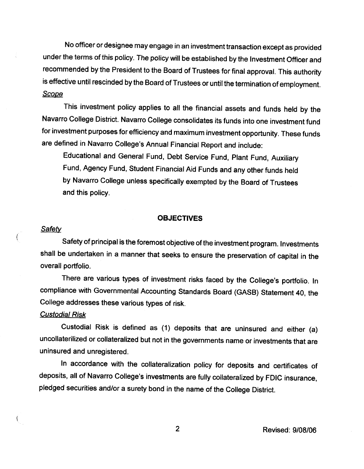No officer or designee may engage in an investment transaction except as provided under the terms of this policy. The policy will be established by the Investment Officer and recommended by the President to the Board of Trustees for final approval. This authority is effective until rescinded by the Board of Trustees or until the termination of employment. **Scope** 

This investment policy applies to all the financial assets and funds held by the Navarro College District. Navarro College consolidates its funds into one investment fund for investment purposes for efficiency and maximum investment opportunity. These funds are defined in Navarro college's Annual Financial Report and include:

Educational and General Fund, Debt Service Fund, Plant Fund, Auxiliary Fund, Agency Fund, Student Financial Aid Funds and any other funds held by Navarro College unless specifically exempted by the Board of Trustees and this policy.

## **OBJECTIVES**

# **Safety**

 $\left($ 

 $\left($ 

Safety of principal is the foremost objective of the investment program. Investments shall be undertaken in a manner that seeks to ensure the preservation of capital in the overall portfolio.

There are various types of investment risks faced by the College's portfolio. In compliance with Governmental Accounting Standards Board (GASB) Statement 40, the College addresses these various types of risk.

## Custodial Risk

Custodial Risk is defined as (1) deposits that are uninsured and either (a) uncollaterilized or collateralized but not in the governments name or investments that are uninsured and unregistered.

In accordance with the collateralization policy for deposits and certificates of deposits, all of Navarro College's investments are fully collateralized by FDIC insurance, pledged securities and/or a surety bond in the name of the College District.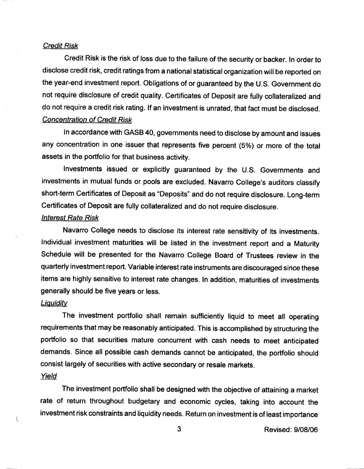#### Credit Risk

Credit Risk is the risk of loss due to the failure of the security or backer. In order to disclose credit risk, credit ratings from a national statistical organization will be reported on the year-end investment report. Obligations of or guaranteed by the U.S. Government do not require disclosure of credit quality. Certificates of Deposit are fully collateralized and do not require a credit risk rating. lf an investment is unrated, that fact must be disclosed. Concentration of Credit Risk

In accordance with GASB 40, governments need to disclose by amount and issues any concentration in one issuer that represents five percent (5%) or more of the total assets in the portfolio for that business activity.

Investments issued or explicitly guaranteed by the U.S. Governments and investments in mutual funds or pools are excluded. Navarro College's auditors classify short-term Certificates of Deposit as "Deposits" and do not require disclosure. Long-term Certificates of Deposit are fully collateralized and do not require disclosure.

#### lnterest Rate Risk

Navarro College needs to disclose its interest rate sensitivity of its investments. Individual investment maturities will be listed in the investment report and a Maturity Schedule will be presented for the Navarro College Board of Trustees review in the quarterly investment report. Variable interest rate instruments are discouraged since these items are highly sensitive to interest rate changes. In addition, maturities of investments generally should be five years or less.

#### **Liquidity**

The investment portfolio shall remain sufficiently liquid to meet all operating requirements that may be reasonably anticipated. This is accomplished by structuring the portfolio so that securities mature concurrent with cash needs to meet anticipated demands. Since all possible cash demands cannot be anticipated, the portfolio should consist largely of securities with active secondary or resale markets.

# Yield

 $\langle$ 

The investment portfolio shall be designed with the objective of attaining a market rate of return throughout budgetary and economic cycles, taking into account the investment risk constraints and liquidity needs. Return on investment is of least importance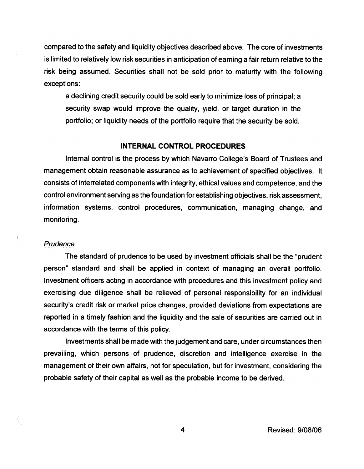compared to the safety and liquidity objectives described above. The core of investments is limited to relatively low risk securities in anticipation of earning a fair return relative to the risk being assumed. Securities shall not be sold prior to maturity with the following exceptions:

a declining credit security could be sold early to minimize loss of principal; a security swap would improve the quality, yield, or target duration in the portfolio; or liquidity needs of the portfolio require that the security be sold.

# INTERNAL CONTROL PROCEDURES

Internal control is the process by which Navarro College's Board of Trustees and management obtain reasonable assurance as to achievement of specified objectives. lt consists of interrelated components with integrity, ethical values and competence, and the control environment serving as the foundation for establishing objectives, risk assessment, information systems, control procedures, communication, managing change, and monitoring.

#### **Prudence**

The standard of prudence to be used by investment officials shall be the "prudent" person" standard and shall be applied in context of managing an overall portfolio. Investment officers acting in accordance with procedures and this investment policy and exercising due diligence shall be relieved of personal responsibility for an individual security's credit risk or market price changes, provided deviations from expectations are reported in a timely fashion and the liquidity and the sale of securities are carried out in accordance with the terms of this policy.

Investments shall be made with the judgement and care, under circumstances then prevailing, which persons of prudence, discretion and intelligence exercise in the management of their own affairs, not for speculation, but for investment, considering the probable safety of their capital as well as the probable income to be derived.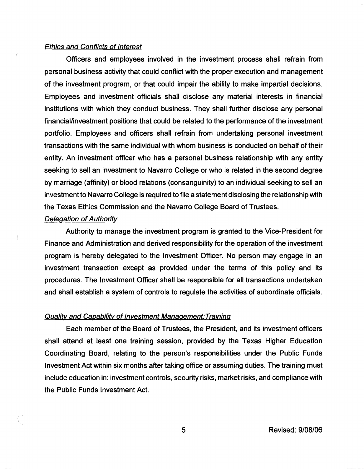#### Ethics and Conflicts of lnterest

Officers and employees involved in the investment process shall refrain from personal business activity that could conflict with the proper execution and management of the investment program, or that could impair the ability to make impartial decisions. Employees and investment officials shall disclose any material interests in financial institutions with which they conduct business. They shall further disclose any personal financial/investment positions that could be related to the performance of the investment portfolio. Employees and officers shall refrain from undertaking personal investment transactions with the same individual with whom business is conducted on behalf of their entity. An investment officer who has a personal business relationship with any entity seeking to sell an investment to Navarro College or who is related in the second degree by marriage (affinity) or blood relations (consanguinity) to an individual seeking to sell an investment to Navarro College is required to file a statement disclosing the relationship with the Texas Ethics Commission and the Navarro College Board of Trustees.

### Delegation of Authority

Authority to manage the investment program is granted to the Vice-President for Finance and Administration and derived responsibility for the operation of the investment program is hereby delegated to the lnvestment Officer. No person may engage in an investment transaction except as provided under the terms of this policy and its procedures. The Investment Officer shall be responsible for all transactions undertaken and shall establish a system of controls to regulate the activities of subordinate officials.

# Quality and Capability of Investment Management: Training

Each member of the Board of Trustees, the President, and its investment officers shall attend at least one training session, provided by the Texas Higher Education Coordinating Board, relating to the person's responsibilities under the Public Funds Investment Act within six months after taking office or assuming duties. The training must include education in: investment controls, security risks, market risks, and compliance with the Public Funds lnvestment Act.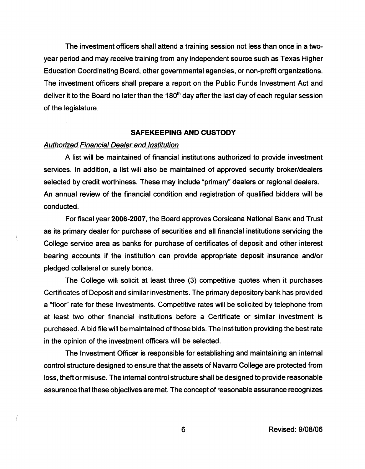The investment officers shall attend a training session not less than once in a twoyear period and may receive training from any independent source such as Texas Higher Education Coordinating Board, other governmental agencies, or non-profit organizations. The investment officers shall prepare a report on the Public Funds Investment Act and deliver it to the Board no later than the 180<sup>th</sup> day after the last day of each regular session of the legislature.

## SAFEKEEPING AND CUSTODY

## Authorized Financial Dealer and lnstitution

A list will be maintained of financial institutions authorized to provide investment services. In addition, a list will also be maintained of approved security broker/dealers selected by credit worthiness. These may include "primary" dealers or regional dealers. An annual review of the financial condition and registration of qualified bidders will be conducted.

For fiscal year 2006-2007, the Board approves Corsicana National Bank and Trust as its primary dealer for purchase of securities and all financial institutions servicing the College service area as banks for purchase of certificates of deposit and other interest bearing accounts if the institution can provide appropriate deposit insurance and/or pledged collateral or surety bonds.

The College will solicit at least three (3) competitive quotes when it purchases Certificates of Deposit and similar investments. The primary depository bank has provided a "floor" rate for these investments. Competitive rates will be solicited by telephone from at least two other financial institutions before a Certificate or similar investment is purchased. Abid file will be maintained of those bids. The institution providing the best rate in the opinion of the investment officers will be selected.

The Investment Officer is responsible for establishing and maintaining an internal control structure designed to ensure that the assets of Navarro College are protected from loss, theft or misuse. The internal control structure shall be designed to provide reasonable assurance that these objectives are met. The concept of reasonable assurance recognizes

6 Revised: 9/08/06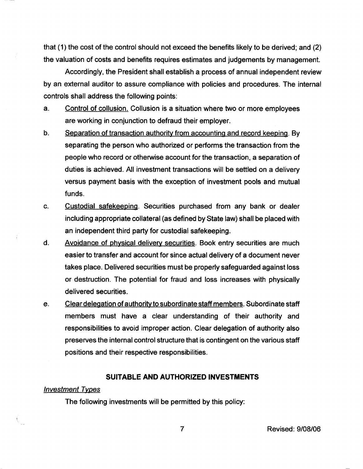that (1) the cost of the control should not exceed the benefits likely to be derived; and (2) the valuation of costs and benefits requires estimates and judgements by management.

Accordingly, the President shall establish a process of annual independent review by an external auditor to assure compliance with policies and procedures. The internal controls shall address the following points:

- a. Control of collusion. Collusion is a situation where two or more employees are working in conjunction to defraud their employer.
- b. Separation of transaction authority from accounting and record keeping. By separating the person who authorized or performs the transaction from the people who record or otherwise account for the transaction, aseparation of duties is achieved. All investment transactions will be settled on a delivery versus payment basis with the exception of investment pools and mutual funds.
- c. Custodial safekeeping. Securities purchased from any bank or dealer including appropriate collateral (as defined by State law) shall be placed with an independent third party for custodial safekeeping.
- d. Avoidance of physical delivery securities. Book entry securities are much easierto transfer and account for since actual delivery of a document never takes place. Delivered securities must be properly safeguarded against loss or destruction. The potential for fraud and loss increases with physically delivered securities.
- e. Clear delegation of authority to subordinate staff members. Subordinate staff members must have a clear understanding of their authority and responsibilities to avoid improper action. Clear delegation of authority also preserves the internal control structure that is contingent on the various staff positions and their respective responsibilities.

#### SUITABLE AND AUTHORIZED INVESTMENTS

### lnvestment Types

The following investments will be permitted by this policy: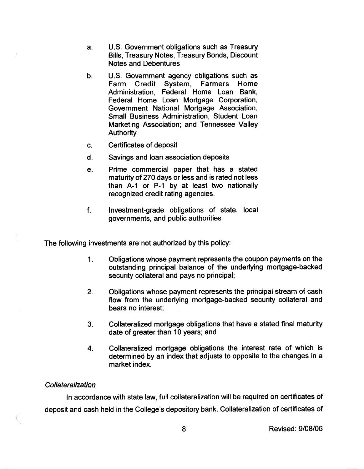- a. U.S. Government obligations such as Treasury Bills, Treasury Notes, Treasury Bonds, Discount Notes and Debentures
- b. U.S. Government agency obligations such as<br>Farm Credit System. Farmers Home Farm Credit System, Farmers Administration, Federal Home Loan Bank, Federal Home Loan Mortgage Corporation, Government National Mortgage Association, Small Business Administration, Student Loan Marketing Association; and Tennessee Valley **Authority**
- Certificates of deposit c.
- Savings and loan association deposits  $\mathsf{d}$ .
- Prime commercial paper that has a stated maturity of 270 days or less and is rated not less than A-1 or P-1 by at least two nationally recognized credit rating agencies. e.
- Investment-grade obligations of state, local governments, and public authorities f.

The following investments are not authorized by this policy:

- 1. Obligations whose payment represents the coupon payments on the outstanding principal balance of the underlying mortgage-backed security collateral and pays no principal;
- 2. Obligations whose payment represents the principal stream of cash flow from the underlying mortgage-backed security collateral and bears no interest;
- 3. Collateralized mortgage obligations that have a stated final maturity date of greater than 10 years; and
- 4. Collateralized mortgage obligations the interest rate of which is determined by an index that adjusts to opposite to the changes in a market index.

#### **Collateralization**

 $\left($ 

In accordance with state law, full collateralization will be required on certificates of deposit and cash held in the College's depository bank. Collateralization of certificates of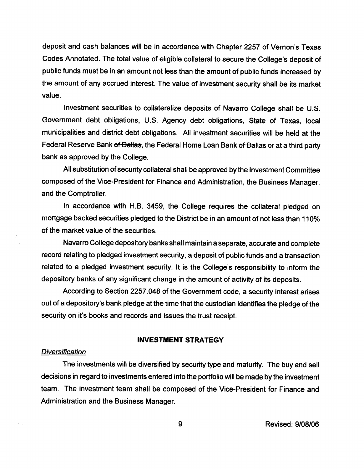deposit and cash balances will be in accordance with Chapter 2257 of Vernon's Texas Codes Annotated. The total value of eligible collateral to secure the College's deposit of public funds must be in an amount not less than the amount of public funds increased by the amount of any accrued interest. The value of investment security shall be its market value.

Investment securities to collateralize deposits of Navarro College shall be U.S. Government debt obligations, U.S. Agency debt obligations, State of Texas, local municipalities and district debt obligations. All investment securities will be held at the Federal Reserve Bank of Dallas, the Federal Home Loan Bank of Dallas or at a third party bank as approved by the College.

All substitution of security collateral shall be approved by the Investment Committee composed of the Vice-President for Finance and Administration, the Business Manager, and the Comptroller.

In accordance with H.B. 3459, the College requires the collateral pledged on mortgage backed securities pledged to the District be in an amount of not less than 110% of the market value of the securities.

Navarro College depository banks shall maintain aseparate, accurate and complete record relating to pledged investment security, a deposit of public funds and a transaction related to a pledged investment security. lt is the College's responsibility to inform the depository banks of any significant change in the amount of activity of its deposits.

According to Section 2257.048 of the Government code, a security interest arises out of a depository's bank pledge at the time that the custodian identifies the pledge of the security on it's books and records and issues the trust receipt.

# INVESTMENT STRATEGY

## **Diversification**

The investments will be diversified by security type and maturity. The buy and sell decisions in regard to investments entered into the portfolio will be made by the investment team. The investment team shall be composed of the Vice-President for Finance and Administration and the Business Manager.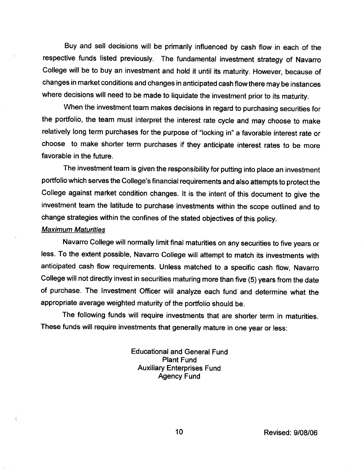Buy and sell decisions will be primarily influenced by cash flow in each of the respective funds listed previously. The fundamental investment strategy of Navarro College will be to buy an investment and hold it until its maturity. However, because of changes in market conditions and changes in anticipated cash flow there may be instances where decisions will need to be made to liquidate the investment prior to its maturity.

When the investment team makes decisions in regard to purchasing securities for the portfolio, the team must interpret the interest rate cycle and may choose to make relatively long term purchases for the purpose of "locking in" a favorable interest rate or choose to make shorter term purchases if they anticipate interest rates to be more favorable in the future.

The investment team is given the responsibility for putting into place an investment portfolio which serves the College's financial requirements and also attempts to protect the College against market condition changes. It is the intent of this document to give the investment team the latitude to purchase investments within the scope ouflined and to change strategies within the confines of the stated objectives of this policy.

#### Maximum Maturities

Navarro College will normally limit final maturities on any securities to five years or less. To the extent possible, Navarro College will attempt to match its investments with anticipated cash flow requirements. Unless matched to a specific cash flow, Navarro College will not directly invest in securities maturing more than five (5) years from the date of purchase. The Investment Officer will analyze each fund and determine what the appropriate average weighted maturity of the portfolio should be.

The following funds will require investments that are shorter term in maturities. These funds will require investments that generally mature in one year or less:

> Educational and General Fund Plant Fund Auxiliary Enterprises Fund Agency Fund

> > 10 Revised: 9/08/06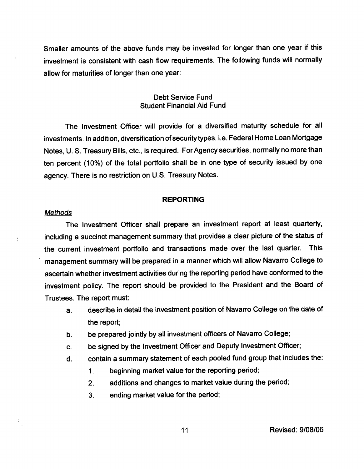Smaller amounts of the above funds may be invested for longer than one year if this investment is consistent with cash flow requirements. The following funds will normally allow for maturities of longer than one year:

# Debt Service Fund Student Financial Aid Fund

The Investment Officer will provide for a diversified maturity schedule for all investments. In addition, diversification of security types, i.e. Federal Home Loan Mortgage Notes, U. S. Treasury Bills, etc., is required. For Agency securities, normally no more than ten percent (10%) of the total portfolio shall be in one type of security issued by one agency. There is no restriction on U.S. Treasury Notes.

#### REPORTING

#### **Methods**

Ť

The Investment Officer shall prepare an investment report at least quarterly, including a succinct management summary that provides a clear picture of the status of the current investment portfolio and transactions made over the last quarter. This management summary will be prepared in a manner which will allow Navarro College to ascertain whether investment activities during the reporting period have conformed to the investment policy. The report should be provided to the President and the Board of Trustees. The report must:

- a. describe in detail the investment position of Navarro College on the date of the report;
- b. be prepared jointly by all investment officers of Navarro College;
- c. be signed by the Investment Officer and Deputy Investment Officer;
- d. contain a summary statement of each pooled fund group that includes the:
	- 1. beginning market value for the reporting period;
	- 2. additions and changes to market value during the period;
	- 3. ending market value for the period;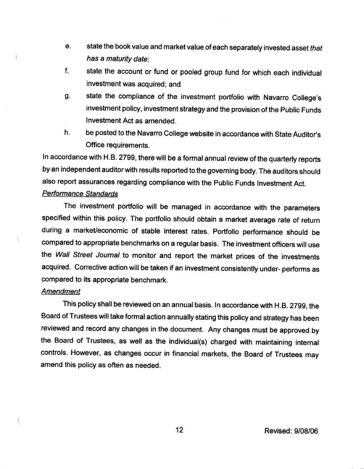- e. state the book value and market value of each separately invested asset that has a maturity date;
- f. state the account or fund or pooled group fund for which each individual investment was acquired; and
- g. state the compliance of the investment portfolio with Navarro College's investment policy, investment strategy and the provision of the Public Funds Investment Act as amended.
- h. be posted to the Navarro College website in accordance with State Auditor's Office requirements.

In accordance with H.B. 2799, there will be a formal annual review of the quarterly reports by an independent auditor with results reported to the governing body. The auditors should also report assurances regarding compliance with the Public Funds Investment Act.

# Pertormance Standards

The investment portfolio will be managed in accordance with the parameters specified within this policy. The portfolio should obtain a market average rate of return during a market/economic of stable interest rates. Portfolio performance should be compared to appropriate benchmarks on a regular basis. The investment officers will use the Wall Street Journal to monitor and report the market prices of the investments acquired. Corrective action will be taken if an investment consistently under- performs as compared to its appropriate benchmark.

## Amendment

 $\vec{r}$ 

ţ

ŧ,

This policy shall be reviewed on an annual basis. In accordance with H.B. 2799, the Board of Trustees will take formal action annually stating this policy and strategy has been reviewed and record any changes in the document. Any changes must be approved by the Board of Trustees, as well as the individual(s) charged with maintaining internal controls. However, as changes occur in financial markets, the Board of Trustees may amend this policy as often as needed.